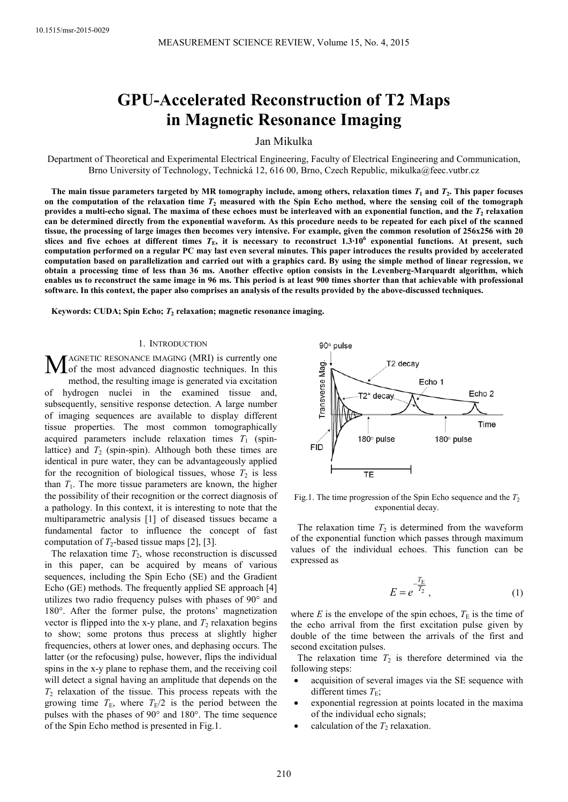# **GPU-Accelerated Reconstruction of T2 Maps in Magnetic Resonance Imaging**

Jan Mikulka

Department of Theoretical and Experimental Electrical Engineering, Faculty of Electrical Engineering and Communication, Brno University of Technology, Technická 12, 616 00, Brno, Czech Republic, mikulka@feec.vutbr.cz

The main tissue parameters targeted by MR tomography include, among others, relaxation times  $T_1$  and  $T_2$ . This paper focuses on the computation of the relaxation time  $T_2$  measured with the Spin Echo method, where the sensing coil of the tomograph provides a multi-echo signal. The maxima of these echoes must be interleaved with an exponential function, and the  $T_2$  relaxation **can be determined directly from the exponential waveform. As this procedure needs to be repeated for each pixel of the scanned tissue, the processing of large images then becomes very intensive. For example, given the common resolution of 256x256 with 20 slices and five echoes at different times** *T***E, it is necessary to reconstruct 1.3∙10<sup>6</sup> exponential functions. At present, such computation performed on a regular PC may last even several minutes. This paper introduces the results provided by accelerated computation based on parallelization and carried out with a graphics card. By using the simple method of linear regression, we obtain a processing time of less than 36 ms. Another effective option consists in the Levenberg-Marquardt algorithm, which enables us to reconstruct the same image in 96 ms. This period is at least 900 times shorter than that achievable with professional software. In this context, the paper also comprises an analysis of the results provided by the above-discussed techniques.** 

**Keywords: CUDA; Spin Echo;** *T***<sup>2</sup> relaxation; magnetic resonance imaging.** 

# 1. INTRODUCTION

AGNETIC RESONANCE IMAGING (MRI) is currently one MAGNETIC RESONANCE IMAGING (MRI) is currently one<br>of the most advanced diagnostic techniques. In this method, the resulting image is generated via excitation of hydrogen nuclei in the examined tissue and, subsequently, sensitive response detection. A large number of imaging sequences are available to display different tissue properties. The most common tomographically acquired parameters include relaxation times  $T_1$  (spinlattice) and  $T_2$  (spin-spin). Although both these times are identical in pure water, they can be advantageously applied for the recognition of biological tissues, whose  $T_2$  is less than  $T_1$ . The more tissue parameters are known, the higher the possibility of their recognition or the correct diagnosis of a pathology. In this context, it is interesting to note that the multiparametric analysis [1] of diseased tissues became a fundamental factor to influence the concept of fast computation of  $T_2$ -based tissue maps [2], [3].

The relaxation time  $T_2$ , whose reconstruction is discussed in this paper, can be acquired by means of various sequences, including the Spin Echo (SE) and the Gradient Echo (GE) methods. The frequently applied SE approach [4] utilizes two radio frequency pulses with phases of 90° and 180°. After the former pulse, the protons' magnetization vector is flipped into the x-y plane, and  $T_2$  relaxation begins to show; some protons thus precess at slightly higher frequencies, others at lower ones, and dephasing occurs. The latter (or the refocusing) pulse, however, flips the individual spins in the x-y plane to rephase them, and the receiving coil will detect a signal having an amplitude that depends on the  $T_2$  relaxation of the tissue. This process repeats with the growing time  $T_{\text{E}}$ , where  $T_{\text{E}}/2$  is the period between the pulses with the phases of 90° and 180°. The time sequence of the Spin Echo method is presented in Fig.1.



Fig.1. The time progression of the Spin Echo sequence and the  $T_2$ exponential decay.

The relaxation time  $T_2$  is determined from the waveform of the exponential function which passes through maximum values of the individual echoes. This function can be expressed as

$$
E = e^{-\frac{T_{\rm E}}{T_2}},\tag{1}
$$

where  $E$  is the envelope of the spin echoes,  $T<sub>E</sub>$  is the time of the echo arrival from the first excitation pulse given by double of the time between the arrivals of the first and second excitation pulses.

The relaxation time  $T_2$  is therefore determined via the following steps:

- acquisition of several images via the SE sequence with different times  $T<sub>E</sub>$ ;
- exponential regression at points located in the maxima of the individual echo signals;
- calculation of the  $T_2$  relaxation.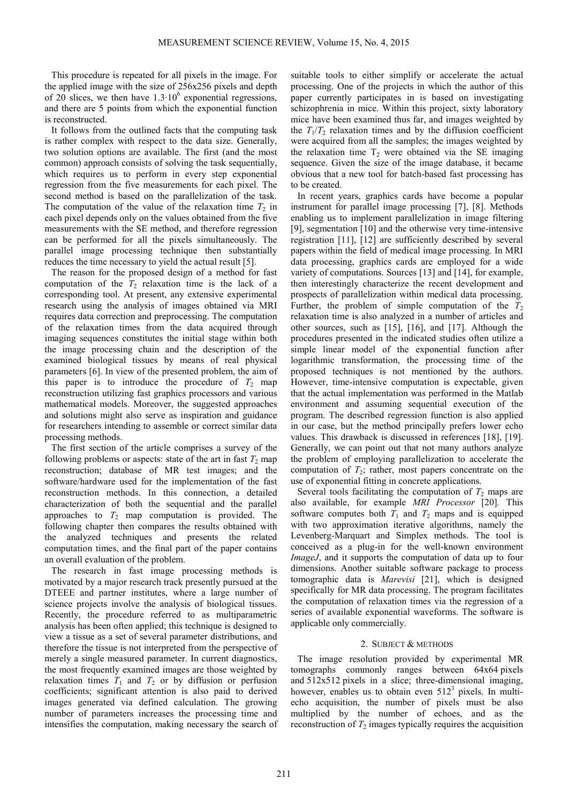This procedure is repeated for all pixels in the image. For the applied image with the size of 256x256 pixels and depth of 20 slices, we then have  $1.3 \cdot 10^6$  exponential regressions, and there are 5 points from which the exponential function is reconstructed.

It follows from the outlined facts that the computing task is rather complex with respect to the data size. Generally, two solution options are available. The first (and the most common) approach consists of solving the task sequentially, which requires us to perform in every step exponential regression from the five measurements for each pixel. The second method is based on the parallelization of the task. The computation of the value of the relaxation time  $T_2$  in each pixel depends only on the values obtained from the five measurements with the SE method, and therefore regression can be performed for all the pixels simultaneously. The parallel image processing technique then substantially reduces the time necessary to yield the actual result [5].

The reason for the proposed design of a method for fast computation of the  $T_2$  relaxation time is the lack of a corresponding tool. At present, any extensive experimental research using the analysis of images obtained via MRI requires data correction and preprocessing. The computation of the relaxation times from the data acquired through imaging sequences constitutes the initial stage within both the image processing chain and the description of the examined biological tissues by means of real physical parameters [6]. In view of the presented problem, the aim of this paper is to introduce the procedure of  $T_2$  map reconstruction utilizing fast graphics processors and various mathematical models. Moreover, the suggested approaches and solutions might also serve as inspiration and guidance for researchers intending to assemble or correct similar data processing methods.

The first section of the article comprises a survey of the following problems or aspects: state of the art in fast  $T_2$  map reconstruction; database of MR test images; and the software/hardware used for the implementation of the fast reconstruction methods. In this connection, a detailed characterization of both the sequential and the parallel approaches to  $T_2$  map computation is provided. The following chapter then compares the results obtained with the analyzed techniques and presents the related computation times, and the final part of the paper contains an overall evaluation of the problem.

The research in fast image processing methods is motivated by a major research track presently pursued at the DTEEE and partner institutes, where a large number of science projects involve the analysis of biological tissues. Recently, the procedure referred to as multiparametric analysis has been often applied; this technique is designed to view a tissue as a set of several parameter distributions, and therefore the tissue is not interpreted from the perspective of merely a single measured parameter. In current diagnostics, the most frequently examined images are those weighted by relaxation times  $T_1$  and  $T_2$  or by diffusion or perfusion coefficients; significant attention is also paid to derived images generated via defined calculation. The growing number of parameters increases the processing time and intensifies the computation, making necessary the search of

suitable tools to either simplify or accelerate the actual processing. One of the projects in which the author of this paper currently participates in is based on investigating schizophrenia in mice. Within this project, sixty laboratory mice have been examined thus far, and images weighted by the  $T_1/T_2$  relaxation times and by the diffusion coefficient were acquired from all the samples; the images weighted by the relaxation time  $T_2$  were obtained via the SE imaging sequence. Given the size of the image database, it became obvious that a new tool for batch-based fast processing has to be created.

In recent years, graphics cards have become a popular instrument for parallel image processing [7], [8]. Methods enabling us to implement parallelization in image filtering [9], segmentation [10] and the otherwise very time-intensive registration [11], [12] are sufficiently described by several papers within the field of medical image processing. In MRI data processing, graphics cards are employed for a wide variety of computations. Sources [13] and [14], for example, then interestingly characterize the recent development and prospects of parallelization within medical data processing. Further, the problem of simple computation of the  $T_2$ relaxation time is also analyzed in a number of articles and other sources, such as [15], [16], and [17]. Although the procedures presented in the indicated studies often utilize a simple linear model of the exponential function after logarithmic transformation, the processing time of the proposed techniques is not mentioned by the authors. However, time-intensive computation is expectable, given that the actual implementation was performed in the Matlab environment and assuming sequential execution of the program. The described regression function is also applied in our case, but the method principally prefers lower echo values. This drawback is discussed in references [18], [19]. Generally, we can point out that not many authors analyze the problem of employing parallelization to accelerate the computation of  $T_2$ ; rather, most papers concentrate on the use of exponential fitting in concrete applications.

Several tools facilitating the computation of  $T_2$  maps are also available, for example *MRI Processor* [20]*.* This software computes both  $T_1$  and  $T_2$  maps and is equipped with two approximation iterative algorithms, namely the Levenberg-Marquart and Simplex methods. The tool is conceived as a plug-in for the well-known environment *ImageJ*, and it supports the computation of data up to four dimensions. Another suitable software package to process tomographic data is *Marevisi* [21], which is designed specifically for MR data processing. The program facilitates the computation of relaxation times via the regression of a series of available exponential waveforms. The software is applicable only commercially.

# 2. SUBJECT & METHODS

The image resolution provided by experimental MR tomographs commonly ranges between 64x64 pixels and 512x512 pixels in a slice; three-dimensional imaging, however, enables us to obtain even  $512<sup>3</sup>$  pixels. In multiecho acquisition, the number of pixels must be also multiplied by the number of echoes, and as the reconstruction of  $T_2$  images typically requires the acquisition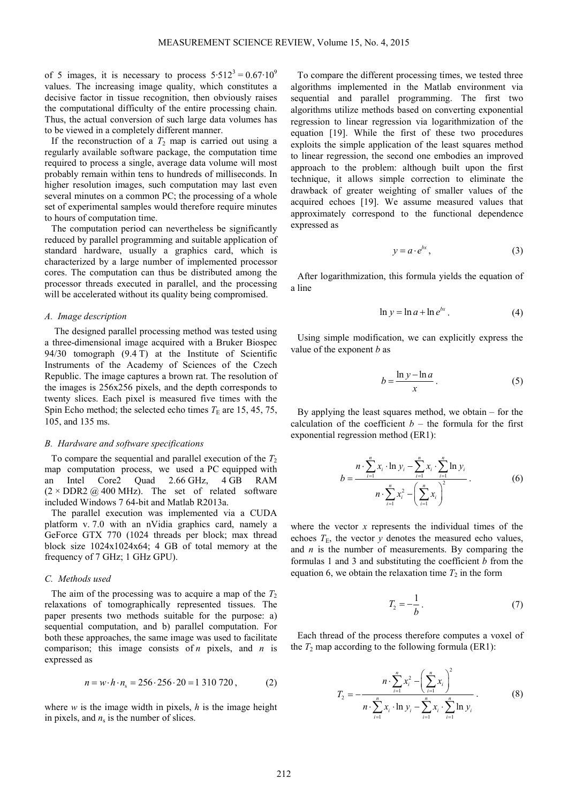of 5 images, it is necessary to process  $5.512^3 = 0.67 \cdot 10^9$ values. The increasing image quality, which constitutes a decisive factor in tissue recognition, then obviously raises the computational difficulty of the entire processing chain. Thus, the actual conversion of such large data volumes has to be viewed in a completely different manner.

If the reconstruction of a  $T_2$  map is carried out using a regularly available software package, the computation time required to process a single, average data volume will most probably remain within tens to hundreds of milliseconds. In higher resolution images, such computation may last even several minutes on a common PC; the processing of a whole set of experimental samples would therefore require minutes to hours of computation time.

The computation period can nevertheless be significantly reduced by parallel programming and suitable application of standard hardware, usually a graphics card, which is characterized by a large number of implemented processor cores. The computation can thus be distributed among the processor threads executed in parallel, and the processing will be accelerated without its quality being compromised.

## *A. Image description*

The designed parallel processing method was tested using a three-dimensional image acquired with a Bruker Biospec 94/30 tomograph (9.4 T) at the Institute of Scientific Instruments of the Academy of Sciences of the Czech Republic. The image captures a brown rat. The resolution of the images is 256x256 pixels, and the depth corresponds to twenty slices. Each pixel is measured five times with the Spin Echo method; the selected echo times  $T<sub>E</sub>$  are 15, 45, 75, 105, and 135 ms.

## *B. Hardware and software specifications*

To compare the sequential and parallel execution of the  $T_2$ map computation process, we used a PC equipped with an Intel Core2 Quad 2.66 GHz, 4 GB RAM  $(2 \times DDR2 \text{ } @$  400 MHz). The set of related software included Windows 7 64-bit and Matlab R2013a.

The parallel execution was implemented via a CUDA platform v. 7.0 with an nVidia graphics card, namely a GeForce GTX 770 (1024 threads per block; max thread block size 1024x1024x64; 4 GB of total memory at the frequency of 7 GHz; 1 GHz GPU).

## *C. Methods used*

The aim of the processing was to acquire a map of the  $T_2$ relaxations of tomographically represented tissues. The paper presents two methods suitable for the purpose: a) sequential computation, and b) parallel computation. For both these approaches, the same image was used to facilitate comparison; this image consists of *n* pixels, and *n* is expressed as

$$
n = w \cdot h \cdot n_s = 256 \cdot 256 \cdot 20 = 1310720, \tag{2}
$$

where  $w$  is the image width in pixels,  $h$  is the image height in pixels, and  $n<sub>s</sub>$  is the number of slices.

To compare the different processing times, we tested three algorithms implemented in the Matlab environment via sequential and parallel programming. The first two algorithms utilize methods based on converting exponential regression to linear regression via logarithmization of the equation [19]. While the first of these two procedures exploits the simple application of the least squares method to linear regression, the second one embodies an improved approach to the problem: although built upon the first technique, it allows simple correction to eliminate the drawback of greater weighting of smaller values of the acquired echoes [19]. We assume measured values that approximately correspond to the functional dependence expressed as

$$
y = a \cdot e^{bx}, \tag{3}
$$

After logarithmization, this formula yields the equation of a line

$$
\ln y = \ln a + \ln e^{bx} \,. \tag{4}
$$

Using simple modification, we can explicitly express the value of the exponent *b* as

$$
b = \frac{\ln y - \ln a}{x}.
$$
 (5)

By applying the least squares method, we obtain – for the calculation of the coefficient  $b$  – the formula for the first exponential regression method (ER1):

$$
b = \frac{n \cdot \sum_{i=1}^{n} x_i \cdot \ln y_i - \sum_{i=1}^{n} x_i \cdot \sum_{i=1}^{n} \ln y_i}{n \cdot \sum_{i=1}^{n} x_i^2 - \left(\sum_{i=1}^{n} x_i\right)^2}.
$$
 (6)

where the vector *x* represents the individual times of the echoes  $T_{\text{E}}$ , the vector *y* denotes the measured echo values, and *n* is the number of measurements. By comparing the formulas 1 and 3 and substituting the coefficient *b* from the equation 6, we obtain the relaxation time  $T_2$  in the form

$$
T_2 = -\frac{1}{b} \,. \tag{7}
$$

Each thread of the process therefore computes a voxel of the  $T_2$  map according to the following formula (ER1):

$$
T_2 = -\frac{n \cdot \sum_{i=1}^n x_i^2 - \left(\sum_{i=1}^n x_i\right)^2}{n \cdot \sum_{i=1}^n x_i \cdot \ln y_i - \sum_{i=1}^n x_i \cdot \sum_{i=1}^n \ln y_i}.
$$
 (8)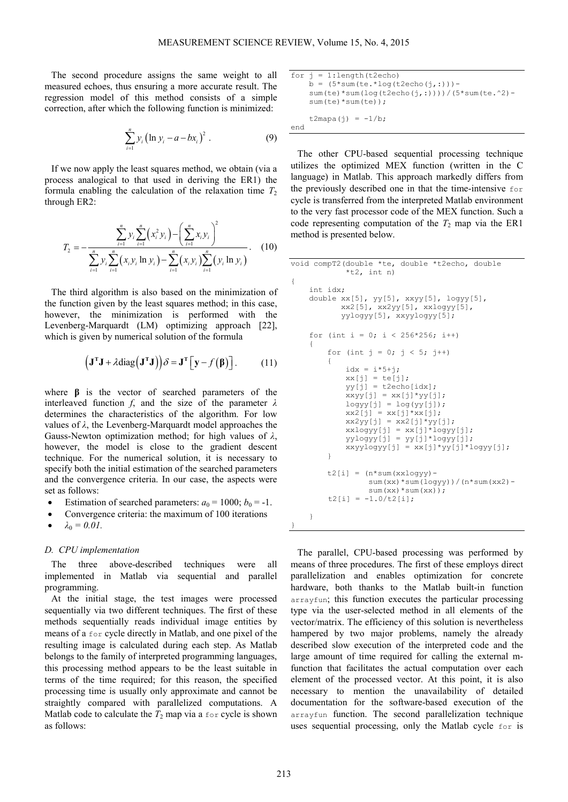The second procedure assigns the same weight to all measured echoes, thus ensuring a more accurate result. The regression model of this method consists of a simple correction, after which the following function is minimized:

$$
\sum_{i=1}^{n} y_i (\ln y_i - a - bx_i)^2.
$$
 (9)

If we now apply the least squares method, we obtain (via a process analogical to that used in deriving the ER1) the formula enabling the calculation of the relaxation time  $T_2$ through ER2:

$$
T_2 = -\frac{\sum_{i=1}^n y_i \sum_{i=1}^n (x_i^2 y_i) - (\sum_{i=1}^n x_i y_i)^2}{\sum_{i=1}^n y_i \sum_{i=1}^n (x_i y_i \ln y_i) - \sum_{i=1}^n (x_i y_i) \sum_{i=1}^n (y_i \ln y_i)}.
$$
 (10)

The third algorithm is also based on the minimization of the function given by the least squares method; in this case, however, the minimization is performed with the Levenberg-Marquardt (LM) optimizing approach [22], which is given by numerical solution of the formula

$$
\left(\mathbf{J}^{\mathrm{T}}\mathbf{J} + \lambda \mathrm{diag}\left(\mathbf{J}^{\mathrm{T}}\mathbf{J}\right)\right)\delta = \mathbf{J}^{\mathrm{T}}\left[\mathbf{y} - f\left(\boldsymbol{\beta}\right)\right].\tag{11}
$$

where **β** is the vector of searched parameters of the interleaved function *f*, and the size of the parameter *λ* determines the characteristics of the algorithm. For low values of *λ*, the Levenberg-Marquardt model approaches the Gauss-Newton optimization method; for high values of *λ*, however, the model is close to the gradient descent technique. For the numerical solution, it is necessary to specify both the initial estimation of the searched parameters and the convergence criteria. In our case, the aspects were set as follows:

- Estimation of searched parameters:  $a_0 = 1000$ ;  $b_0 = -1$ .
- Convergence criteria: the maximum of 100 iterations
- $\lambda_0 = 0.01$ .

# *D. CPU implementation*

The three above-described techniques were all implemented in Matlab via sequential and parallel programming.

At the initial stage, the test images were processed sequentially via two different techniques. The first of these methods sequentially reads individual image entities by means of a for cycle directly in Matlab, and one pixel of the resulting image is calculated during each step. As Matlab belongs to the family of interpreted programming languages, this processing method appears to be the least suitable in terms of the time required; for this reason, the specified processing time is usually only approximate and cannot be straightly compared with parallelized computations. A Matlab code to calculate the  $T_2$  map via a for cycle is shown as follows:

```
for j = 1: length (t2echo)
    b = (5 * sum(te. * log(t2echo(j, :))) - sum(te)*sum(log(t2echo(j,:))))/(5*sum(te.^2)- 
     sum(te)*sum(te));
    t2mapa(j) = -1/b;
end
```
The other CPU-based sequential processing technique utilizes the optimized MEX function (written in the C language) in Matlab. This approach markedly differs from the previously described one in that the time-intensive for cycle is transferred from the interpreted Matlab environment to the very fast processor code of the MEX function. Such a code representing computation of the  $T_2$  map via the ER1 method is presented below.

```
void compT2(double *te, double *t2echo, double 
            *t2, int n)
{
     int idx;
     double xx[5], yy[5], xxyy[5], logyy[5], 
           xx2[5], xx2yy[5], xxlogyy[5], 
           yylogyy[5], xxyylogyy[5];
    for (int i = 0; i < 256*256; i++)
     {
        for (int j = 0; j < 5; j++)\{idx = i*5+j;
           xx[j] = te[j];yy[j] = t2echo[idx];xxyy[j] = xx[j]*yy[j];logyy[j] = log(yy[j]);xx2[j] = xx[j]*xx[j];xx2yy[j] = xx2[j]*yy[j];xxlogyy[j] = xx[j]*logyy[j]; yylogyy[j] = yy[j]*logyy[j];
            xxyylogyy[j] = xx[j]*yy[j]*logyy[j];
 }
        t2[i] = (n * sum(xxlogyy) - sum(xx)*sum(logyy))/(n*sum(xx2)- 
                 sum(xx)*sum(xx));
        t2[i] = -1.0/t2[i]; } 
}
```
The parallel, CPU-based processing was performed by means of three procedures. The first of these employs direct parallelization and enables optimization for concrete hardware, both thanks to the Matlab built-in function arrayfun; this function executes the particular processing type via the user-selected method in all elements of the vector/matrix. The efficiency of this solution is nevertheless hampered by two major problems, namely the already described slow execution of the interpreted code and the large amount of time required for calling the external mfunction that facilitates the actual computation over each element of the processed vector. At this point, it is also necessary to mention the unavailability of detailed documentation for the software-based execution of the arrayfun function. The second parallelization technique uses sequential processing, only the Matlab cycle for is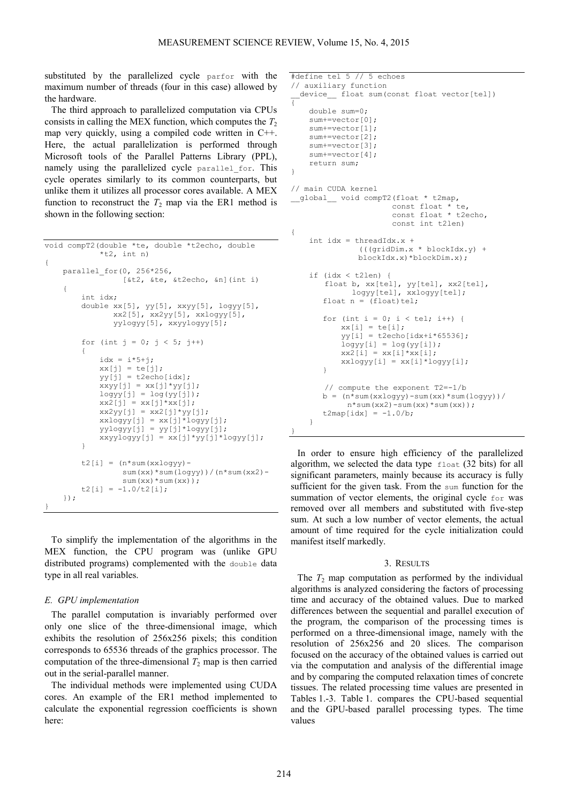substituted by the parallelized cycle parfor with the maximum number of threads (four in this case) allowed by the hardware.

The third approach to parallelized computation via CPUs consists in calling the MEX function, which computes the  $T_2$ map very quickly, using a compiled code written in C++. Here, the actual parallelization is performed through Microsoft tools of the Parallel Patterns Library (PPL), namely using the parallelized cycle parallel for. This cycle operates similarly to its common counterparts, but unlike them it utilizes all processor cores available. A MEX function to reconstruct the  $T_2$  map via the ER1 method is shown in the following section:

```
void compT2(double *te, double *t2echo, double 
             *t2, int n)
{
     parallel_for(0, 256*256, 
                    [&t2, &te, &t2echo, &n](int i)
     {
          int idx;
         double xx[5], yy[5], xxyy[5], logyy[5], 
                 xx2[5], xx2yy[5], xxlogyy[5], 
                 yylogyy[5], xxyylogyy[5];
         for (int j = 0; j < 5; j++)\left\{ \begin{array}{cc} 0 & 0 \\ 0 & 0 \end{array} \right\}idx = i*5+j;
             xx[j] = te[j];yy[j] = t2echo[idx];xxyy[j] = xx[j]*yy[j];logyy[j] = log(yy[j]);xx2[i] = xx[i]*xx[i];xx2yy[j] = xx2[j]*yy[j];xxlogyy[j] = xx[j]*logyy[j]; yylogyy[j] = yy[j]*logyy[j];
             xxyylogyy[j] = xx[j]*yy[j]*logyy[j]; }
         t2[i] = (n * sum(xxlogy) - sum(xx)*sum(logyy))/(n*sum(xx2)- 
                   sum(xx)*sum(xx));
         t2[i] = -1.0/t2[i]; });
}
```
To simplify the implementation of the algorithms in the MEX function, the CPU program was (unlike GPU distributed programs) complemented with the double data type in all real variables.

# *E. GPU implementation*

The parallel computation is invariably performed over only one slice of the three-dimensional image, which exhibits the resolution of 256x256 pixels; this condition corresponds to 65536 threads of the graphics processor. The computation of the three-dimensional  $T_2$  map is then carried out in the serial-parallel manner.

The individual methods were implemented using CUDA cores. An example of the ER1 method implemented to calculate the exponential regression coefficients is shown here:

```
#define tel 5 // 5 echoes 
// auxiliary function 
 device float sum(const float vector[tel])
{ 
     double sum=0; 
    sum+=vector[0];
     sum+=vector[1]; 
     sum+=vector[2]; 
     sum+=vector[3]; 
     sum+=vector[4]; 
     return sum; 
} 
// main CUDA kernel 
__global__ void compT2(float * t2map, 
                       const float * te, 
                       const float * t2echo, 
                       const int t2len) 
{ 
    int idx = threadIdx.x +
               (((gridDim.x * blockIdx.y) + 
               blockIdx.x)*blockDim.x); 
     if (idx < t2len) { 
       float b, xx[tel], yy[tel], xx2[tel], 
              logyy[tel], xxlogyy[tel]; 
       float n = (float)tel;for (int i = 0; i < tel; i++) {
xx[i] = te[i];yy[i] = t2echo[idx+i*65536];
           logyy[i] = log(yy[i]);xx2[i] = xx[i]*xx[i];xxlogyy[i] = xx[i]*logyy[i]; } 
       // compute the exponent T2=-1/b 
       b = (n * sum(xxlogy) - sum(xx) * sum(logyy))n*sum(xx2) - sum(xx)*sum(xx));
       t2map[idx] = -1.0/b; } 
}
```
In order to ensure high efficiency of the parallelized algorithm, we selected the data type float (32 bits) for all significant parameters, mainly because its accuracy is fully sufficient for the given task. From the sum function for the summation of vector elements, the original cycle for was removed over all members and substituted with five-step sum. At such a low number of vector elements, the actual amount of time required for the cycle initialization could manifest itself markedly.

#### 3. RESULTS

The  $T_2$  map computation as performed by the individual algorithms is analyzed considering the factors of processing time and accuracy of the obtained values. Due to marked differences between the sequential and parallel execution of the program, the comparison of the processing times is performed on a three-dimensional image, namely with the resolution of 256x256 and 20 slices. The comparison focused on the accuracy of the obtained values is carried out via the computation and analysis of the differential image and by comparing the computed relaxation times of concrete tissues. The related processing time values are presented in Tables 1.-3. Table 1. compares the CPU-based sequential and the GPU-based parallel processing types. The time values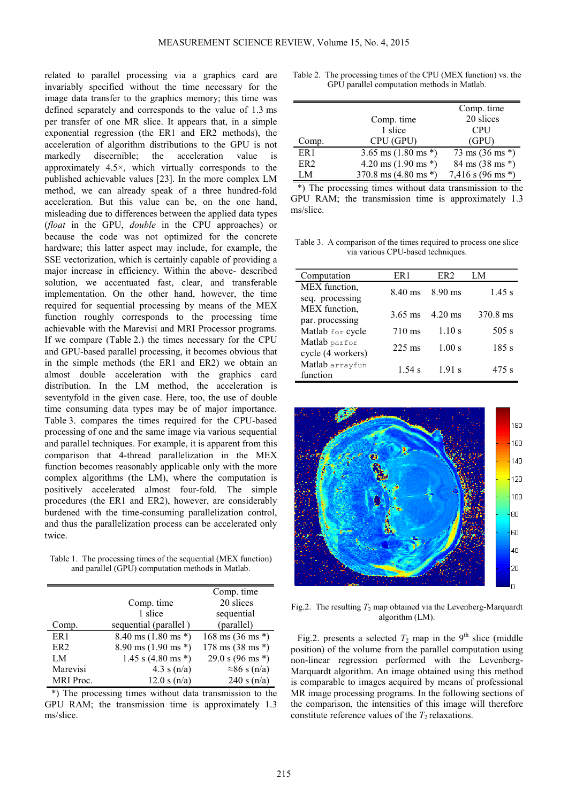related to parallel processing via a graphics card are invariably specified without the time necessary for the image data transfer to the graphics memory; this time was defined separately and corresponds to the value of 1.3 ms per transfer of one MR slice. It appears that, in a simple exponential regression (the ER1 and ER2 methods), the acceleration of algorithm distributions to the GPU is not markedly discernible; the acceleration value is approximately 4.5×, which virtually corresponds to the published achievable values [23]. In the more complex LM method, we can already speak of a three hundred-fold acceleration. But this value can be, on the one hand, misleading due to differences between the applied data types (*float* in the GPU, *double* in the CPU approaches) or because the code was not optimized for the concrete hardware; this latter aspect may include, for example, the SSE vectorization, which is certainly capable of providing a major increase in efficiency. Within the above- described solution, we accentuated fast, clear, and transferable implementation. On the other hand, however, the time required for sequential processing by means of the MEX function roughly corresponds to the processing time achievable with the Marevisi and MRI Processor programs. If we compare (Table 2.) the times necessary for the CPU and GPU-based parallel processing, it becomes obvious that in the simple methods (the ER1 and ER2) we obtain an almost double acceleration with the graphics card distribution. In the LM method, the acceleration is seventyfold in the given case. Here, too, the use of double time consuming data types may be of major importance. Table 3. compares the times required for the CPU-based processing of one and the same image via various sequential and parallel techniques. For example, it is apparent from this comparison that 4-thread parallelization in the MEX function becomes reasonably applicable only with the more complex algorithms (the LM), where the computation is positively accelerated almost four-fold. The simple procedures (the ER1 and ER2), however, are considerably burdened with the time-consuming parallelization control, and thus the parallelization process can be accelerated only twice.

Table 1. The processing times of the sequential (MEX function) and parallel (GPU) computation methods in Matlab.

|                  |                                         | Comp. time                           |
|------------------|-----------------------------------------|--------------------------------------|
|                  | Comp. time                              | 20 slices                            |
|                  | 1 slice                                 | sequential                           |
| Comp.            | sequential (parallel)                   | (parallel)                           |
| ER <sub>1</sub>  | $8.40$ ms $(1.80$ ms $*)$               | $168 \text{ ms } (36 \text{ ms }^*)$ |
| ER <sub>2</sub>  | $8.90 \text{ ms } (1.90 \text{ ms }^*)$ | $178 \text{ ms } (38 \text{ ms }^*)$ |
| LM               | 1.45 s $(4.80 \text{ ms}^*)$            | 29.0 s $(96 \text{ ms}^*)$           |
| Marevisi         | 4.3 s $(n/a)$                           | $\approx$ 86 s (n/a)                 |
| <b>MRI</b> Proc. | 12.0 s(n/a)                             | 240 s $(n/a)$                        |

\*) The processing times without data transmission to the GPU RAM; the transmission time is approximately 1.3 ms/slice.

| Table 2. The processing times of the CPU (MEX function) vs. the |
|-----------------------------------------------------------------|
| GPU parallel computation methods in Matlab.                     |

|                 |                                | Comp. time                          |
|-----------------|--------------------------------|-------------------------------------|
|                 | Comp. time                     | 20 slices                           |
|                 | 1 slice                        | <b>CPU</b>                          |
| Comp.           | CPU (GPU)                      | (GPU)                               |
| ER <sub>1</sub> | 3.65 ms $(1.80 \text{ ms}^*)$  | $73 \text{ ms } (36 \text{ ms }^*)$ |
| ER <sub>2</sub> | 4.20 ms $(1.90 \text{ ms}^*)$  | 84 ms (38 ms *)                     |
| IМ              | 370.8 ms $(4.80 \text{ ms}^*)$ | 7,416 s $(96 \text{ ms}^*)$         |

\*) The processing times without data transmission to the GPU RAM; the transmission time is approximately 1.3 ms/slice.

Table 3. A comparison of the times required to process one slice via various CPU-based techniques.

| Computation                        | ER 1              | ER <sub>2</sub>   | LM       |
|------------------------------------|-------------------|-------------------|----------|
| MEX function,<br>seq. processing   | 8.40 ms           | $8.90$ ms         | $1.45$ s |
| MEX function,<br>par. processing   | $3.65 \text{ ms}$ | $4.20 \text{ ms}$ | 370.8 ms |
| Matlab for cycle                   | 710 ms            | 1.10 s            | $505$ s  |
| Matlab parfor<br>cycle (4 workers) | $225$ ms          | 1.00 s            | 185 s    |
| Matlab arrayfun<br>function        | 1.54 s            | 1.91 s            | 475 s    |



Fig.2. The resulting  $T_2$  map obtained via the Levenberg-Marquardt algorithm (LM).

Fig.2. presents a selected  $T_2$  map in the 9<sup>th</sup> slice (middle position) of the volume from the parallel computation using non-linear regression performed with the Levenberg-Marquardt algorithm. An image obtained using this method is comparable to images acquired by means of professional MR image processing programs. In the following sections of the comparison, the intensities of this image will therefore constitute reference values of the  $T_2$  relaxations.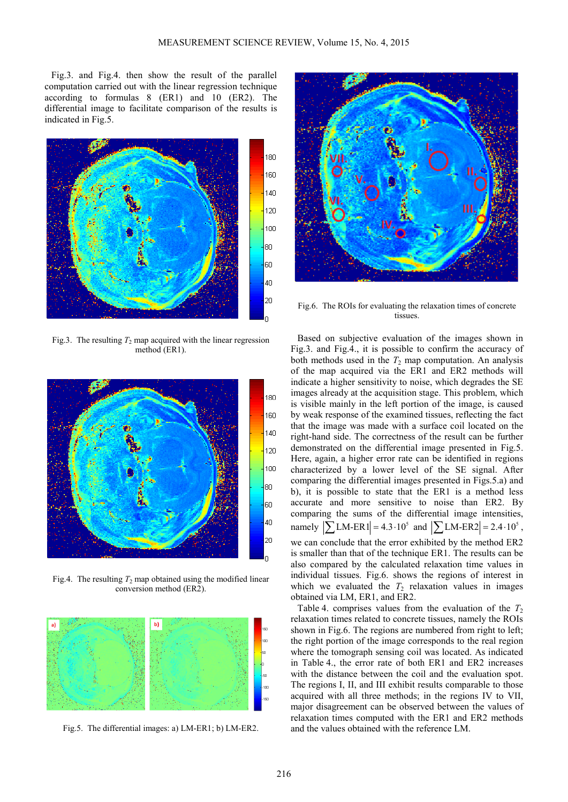Fig.3. and Fig.4. then show the result of the parallel computation carried out with the linear regression technique according to formulas 8 (ER1) and 10 (ER2). The differential image to facilitate comparison of the results is indicated in Fig.5.



Fig.3. The resulting  $T_2$  map acquired with the linear regression method (ER1).



Fig.4. The resulting  $T_2$  map obtained using the modified linear conversion method (ER2).



Fig.5. The differential images: a) LM-ER1; b) LM-ER2.



Fig.6. The ROIs for evaluating the relaxation times of concrete tissues.

Based on subjective evaluation of the images shown in Fig.3. and Fig.4., it is possible to confirm the accuracy of both methods used in the  $T_2$  map computation. An analysis of the map acquired via the ER1 and ER2 methods will indicate a higher sensitivity to noise, which degrades the SE images already at the acquisition stage. This problem, which is visible mainly in the left portion of the image, is caused by weak response of the examined tissues, reflecting the fact that the image was made with a surface coil located on the right-hand side. The correctness of the result can be further demonstrated on the differential image presented in Fig.5. Here, again, a higher error rate can be identified in regions characterized by a lower level of the SE signal. After comparing the differential images presented in Figs.5.a) and b), it is possible to state that the ER1 is a method less accurate and more sensitive to noise than ER2. By comparing the sums of the differential image intensities, namely  $|\sum_{\text{LM-ER}} 1| = 4.3 \cdot 10^5$  and  $|\sum_{\text{LM-ER}} 2| = 2.4 \cdot 10^5$ , we can conclude that the error exhibited by the method ER2 is smaller than that of the technique ER1. The results can be also compared by the calculated relaxation time values in individual tissues. Fig.6. shows the regions of interest in which we evaluated the  $T_2$  relaxation values in images obtained via LM, ER1, and ER2.

Table 4. comprises values from the evaluation of the  $T_2$ relaxation times related to concrete tissues, namely the ROIs shown in Fig.6. The regions are numbered from right to left; the right portion of the image corresponds to the real region where the tomograph sensing coil was located. As indicated in Table 4., the error rate of both ER1 and ER2 increases with the distance between the coil and the evaluation spot. The regions I, II, and III exhibit results comparable to those acquired with all three methods; in the regions IV to VII, major disagreement can be observed between the values of relaxation times computed with the ER1 and ER2 methods and the values obtained with the reference LM.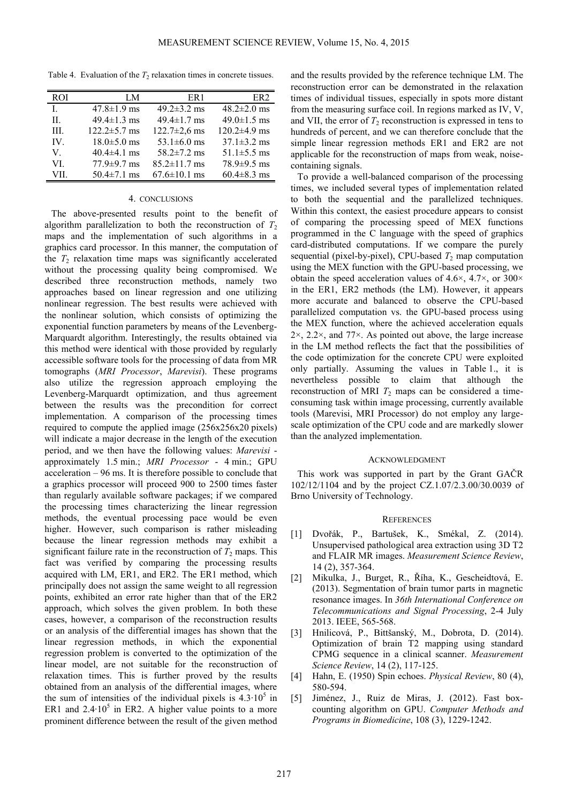Table 4. Evaluation of the  $T_2$  relaxation times in concrete tissues.

| <b>ROI</b> | LM                 | ER <sub>1</sub>    | ER <sub>2</sub>    |
|------------|--------------------|--------------------|--------------------|
| L          | $47.8 \pm 1.9$ ms  | 49.2 $\pm$ 3.2 ms  | $48.2 \pm 2.0$ ms  |
| H          | $49.4 \pm 1.3$ ms  | 49.4 $\pm$ 1.7 ms  | $49.0 \pm 1.5$ ms  |
| III.       | $122.2 \pm 5.7$ ms | $122.7 \pm 2.6$ ms | $120.2 \pm 4.9$ ms |
| IV.        | $18.0 \pm 5.0$ ms  | 53.1 $\pm$ 6.0 ms  | $37.1 \pm 3.2$ ms  |
| V.         | $40.4\pm4.1$ ms    | $58.2 \pm 7.2$ ms  | $51.1 \pm 5.5$ ms  |
| VI         | $77.9 \pm 9.7$ ms  | $85.2 \pm 11.7$ ms | $78.9 \pm 9.5$ ms  |
| VII        | $50.4 \pm 7.1$ ms  | $67.6 \pm 10.1$ ms | $60.4 \pm 8.3$ ms  |

### 4. CONCLUSIONS

The above-presented results point to the benefit of algorithm parallelization to both the reconstruction of  $T_2$ maps and the implementation of such algorithms in a graphics card processor. In this manner, the computation of the  $T_2$  relaxation time maps was significantly accelerated without the processing quality being compromised. We described three reconstruction methods, namely two approaches based on linear regression and one utilizing nonlinear regression. The best results were achieved with the nonlinear solution, which consists of optimizing the exponential function parameters by means of the Levenberg-Marquardt algorithm. Interestingly, the results obtained via this method were identical with those provided by regularly accessible software tools for the processing of data from MR tomographs (*MRI Processor*, *Marevisi*). These programs also utilize the regression approach employing the Levenberg-Marquardt optimization, and thus agreement between the results was the precondition for correct implementation. A comparison of the processing times required to compute the applied image (256x256x20 pixels) will indicate a major decrease in the length of the execution period, and we then have the following values: *Marevisi* approximately 1.5 min.; *MRI Processor* - 4 min.; GPU acceleration – 96 ms. It is therefore possible to conclude that a graphics processor will proceed 900 to 2500 times faster than regularly available software packages; if we compared the processing times characterizing the linear regression methods, the eventual processing pace would be even higher. However, such comparison is rather misleading because the linear regression methods may exhibit a significant failure rate in the reconstruction of  $T_2$  maps. This fact was verified by comparing the processing results acquired with LM, ER1, and ER2. The ER1 method, which principally does not assign the same weight to all regression points, exhibited an error rate higher than that of the ER2 approach, which solves the given problem. In both these cases, however, a comparison of the reconstruction results or an analysis of the differential images has shown that the linear regression methods, in which the exponential regression problem is converted to the optimization of the linear model, are not suitable for the reconstruction of relaxation times. This is further proved by the results obtained from an analysis of the differential images, where the sum of intensities of the individual pixels is  $4.3 \cdot 10^5$  in ER1 and  $2.4 \cdot 10^5$  in ER2. A higher value points to a more prominent difference between the result of the given method

and the results provided by the reference technique LM. The reconstruction error can be demonstrated in the relaxation times of individual tissues, especially in spots more distant from the measuring surface coil. In regions marked as IV, V, and VII, the error of  $T_2$  reconstruction is expressed in tens to hundreds of percent, and we can therefore conclude that the simple linear regression methods ER1 and ER2 are not applicable for the reconstruction of maps from weak, noisecontaining signals.

To provide a well-balanced comparison of the processing times, we included several types of implementation related to both the sequential and the parallelized techniques. Within this context, the easiest procedure appears to consist of comparing the processing speed of MEX functions programmed in the C language with the speed of graphics card-distributed computations. If we compare the purely sequential (pixel-by-pixel), CPU-based  $T_2$  map computation using the MEX function with the GPU-based processing, we obtain the speed acceleration values of 4.6 $\times$ , 4.7 $\times$ , or 300 $\times$ in the ER1, ER2 methods (the LM). However, it appears more accurate and balanced to observe the CPU-based parallelized computation vs. the GPU-based process using the MEX function, where the achieved acceleration equals 2×, 2.2×, and 77×. As pointed out above, the large increase in the LM method reflects the fact that the possibilities of the code optimization for the concrete CPU were exploited only partially. Assuming the values in Table 1., it is nevertheless possible to claim that although the reconstruction of MRI  $T_2$  maps can be considered a timeconsuming task within image processing, currently available tools (Marevisi, MRI Processor) do not employ any largescale optimization of the CPU code and are markedly slower than the analyzed implementation.

#### ACKNOWLEDGMENT

This work was supported in part by the Grant GAČR 102/12/1104 and by the project CZ.1.07/2.3.00/30.0039 of Brno University of Technology.

# **REFERENCES**

- [1] Dvořák, P., Bartušek, K., Smékal, Z. (2014). Unsupervised pathological area extraction using 3D T2 and FLAIR MR images. *Measurement Science Review*, 14 (2), 357-364.
- [2] Mikulka, J., Burget, R., Říha, K., Gescheidtová, E. (2013). Segmentation of brain tumor parts in magnetic resonance images. In *36th International Conference on Telecommunications and Signal Processing*, 2-4 July 2013. IEEE, 565-568.
- [3] Hnilicová, P., Bittšanský, M., Dobrota, D. (2014). Optimization of brain T2 mapping using standard CPMG sequence in a clinical scanner. *Measurement Science Review*, 14 (2), 117-125.
- [4] Hahn, E. (1950) Spin echoes. *Physical Review*, 80 (4), 580-594.
- [5] Jiménez, J., Ruiz de Miras, J. (2012). Fast boxcounting algorithm on GPU. *Computer Methods and Programs in Biomedicine*, 108 (3), 1229-1242.